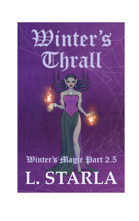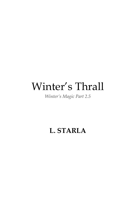# Winter's Thrall

*Winter's Magic Part 2.5*

## **L. STARLA**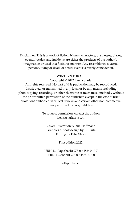Disclaimer: This is a work of fiction. Names, characters, businesses, places, events, locales, and incidents are either the products of the author's imagination or used in a fictitious manner. Any resemblance to actual persons, living or dead, or actual events is purely coincidental.

#### WINTER'S THRALL

Copyright © 2022 Laelia Starla.

All rights reserved. No part of this publication may be reproduced, distributed, or transmitted in any form or by any means, including photocopying, recording, or other electronic or mechanical methods, without the prior written permission of the publisher, except in the case of brief quotations embodied in critical reviews and certain other non-commercial uses permitted by copyright law.

> To request permission, contact the author: laelia@starlaarts.com

Cover illustration © Jana Hoffmann Graphics & book design by L. Starla Editing by Felix Staica

First edition 2022.

ISBN-13 (Paperback) 978-0-6488424-7-7 ISBN-13 (eBook) 978-0-6488424-6-0

Self-published.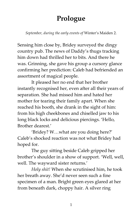# **Prologue**

*September, during the early events of* Winter's Maiden 2*.*

Sensing him close by, Bridey surveyed the dingy country pub. The news of Daddy's thugs tracking him down had thrilled her to bits. And there he was. Grinning, she gave his group a cursory glance confirming her prediction: Caleb had befriended an assortment of magical people.

It pleased her no end that her brother instantly recognised her, even after all their years of separation. She had missed him and hated her mother for tearing their family apart. When she reached his booth, she drank in the sight of him: from his high cheekbones and chiselled jaw to his long black locks and delicious piercings. 'Hello, Brother dearest.'

'Bridey? W…what are you doing here?' Caleb's shocked reaction was not what Bridey had hoped for.

The guy sitting beside Caleb gripped her brother's shoulder in a show of support. 'Well, well, well. The wayward sister returns.'

*Holy shit!* When she scrutinised him, he took her breath away. She'd never seen such a fine specimen of a man. Bright green eyes glared at her from beneath dark, choppy hair. A silver ring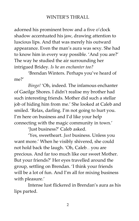adorned his prominent brow and a five o'clock shadow accentuated his jaw, drawing attention to luscious lips. And that was merely his outward appearance. Even the man's aura was sexy. She had to know him in every way possible. 'And you are?' The way he studied the air surrounding her intrigued Bridey. *Is he an enchanter too?*

'Brendan Winters. Perhaps you've heard of me?'

*Bingo!* 'Oh, indeed. The infamous enchanter of Gaeilge Shores. I didn't realise my brother had such interesting friends. Mother did such a stellar job of hiding him from me.' She looked at Caleb and smiled. 'Relax, darling. I'm not going to hurt you. I'm here on business and I'd like your help connecting with the magic community in town.'

'Just business?' Caleb asked.

'Yes, sweetheart. *Just* business. Unless you want more.' When he visibly shivered, she could not hold back the laugh. 'Oh, Caleb… you are precious. And far too much like our sweet Mother. But your friends?' Her eyes travelled around the group, settling on Brendan. 'I think your friends will be a lot of fun. And I'm all for mixing business with pleasure.'

Intense lust flickered in Brendan's aura as his lips parted.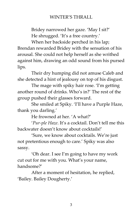Bridey narrowed her gaze. 'May I sit?' He shrugged. 'It's a free country.'

When her backside perched in his lap; Brendan rewarded Bridey with the sensation of his arousal. She could not help herself as she writhed against him, drawing an odd sound from his pursed lips.

Their dry humping did not amuse Caleb and she detected a hint of jealousy on top of his disgust.

The mage with spiky hair rose. 'I'm getting another round of drinks. Who's in?' The rest of the group pushed their glasses forward.

She smiled at Spiky. 'I'll have a Purple Haze, thank you darling.'

He frowned at her. 'A what?'

'*Pur-ple Haze*. It's a cocktail. Don't tell me this backwater doesn't know about cocktails!'

'Sure, we know about cocktails. We're just not pretentious enough to care.' Spiky was also sassy.

'Oh dear. I see I'm going to have my work cut out for me with you. What's your name, handsome?'

After a moment of hesitation, he replied, 'Bailey. Bailey Dougherty.'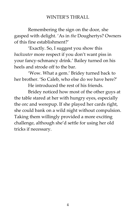Remembering the sign on the door, she gasped with delight. 'As in *the* Doughertys? Owners of this fine establishment?'

'Exactly. So, I suggest you show this *backwater* more respect if you don't want piss in your fancy-schmancy drink.' Bailey turned on his heels and strode off to the bar.

'Wow. What a gem.' Bridey turned back to her brother. 'So Caleb, who else do we have here?'

He introduced the rest of his friends.

Bridey noticed how most of the other guys at the table stared at her with hungry eyes, especially the orc and werepup. If she played her cards right, she could bank on a wild night without compulsion. Taking them willingly provided a more exciting challenge, although she'd settle for using her old tricks if necessary.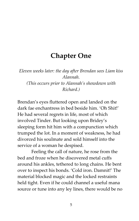### **Chapter One**

*Eleven weeks later: the day after Brendan sees Liam kiss Alannah. (This occurs prior to Alannah's showdown with Richard.)*

Brendan's eyes fluttered open and landed on the dark fae enchantress in bed beside him. 'Oh Shit!' He had several regrets in life, most of which involved Tinder. But looking upon Bridey's sleeping form hit him with a compunction which trumped the lot. In a moment of weakness, he had divorced his soulmate and sold himself into the service of a woman he despised.

Feeling the call of nature, he rose from the bed and froze when he discovered metal cuffs around his ankles, tethered to long chains. He bent over to inspect his bonds. 'Cold iron. Damnit!' The material blocked magic and the locked restraints held tight. Even if he could channel a useful mana source or tune into any ley lines, there would be no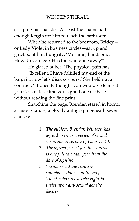escaping his shackles. At least the chains had enough length for him to reach the bathroom.

When he returned to the bedroom, Bridey or Lady Violet in business circles—sat up and gawked at him hungrily. 'Morning, handsome. How do you feel? Has the pain gone away?'

He glared at her. 'The physical pain has.'

'Excellent. I have fulfilled my end of the bargain, now let's discuss yours.' She held out a contract. 'I honestly thought you would've learned your lesson last time you signed one of these without reading the fine print.'

Snatching the page, Brendan stared in horror at his signature, a bloody autograph beneath seven clauses:

- 1. *The subject, Brendan Winters, has agreed to enter a period of sexual servitude in service of Lady Violet.*
- 2. *The agreed period for this contract is one full calendar year from the date of signing.*
- 3. *Sexual servitude requires complete submission to Lady Violet, who invokes the right to insist upon any sexual act she desires.*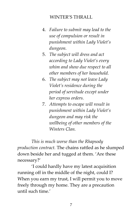- 4. *Failure to submit may lead to the use of compulsion or result in punishment within Lady Violet's dungeon.*
- 5. *The subject will dress and act according to Lady Violet's every whim and show due respect to all other members of her household.*
- 6. *The subject may not leave Lady Violet's residence during the period of servitude except under her express orders.*
- 7. *Attempts to escape will result in punishment within Lady Violet's dungeon and may risk the wellbeing of other members of the Winters Clan.*

*This is much worse than the Rhapsody production contract.* The chains rattled as he slumped down beside her and tugged at them. 'Are these necessary?'

'I could hardly have my latest acquisition running off in the middle of the night, could I? When you earn my trust, I will permit you to move freely through my home. They are a precaution until such time.'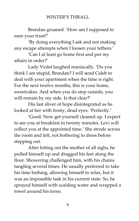Brendan groaned. 'How am I supposed to earn your trust?'

'By doing everything I ask and not making any escape attempts when I loosen your tethers.'

'Can I at least go home first and put my affairs in order?'

Lady Violet laughed maniacally. 'Do you think I am stupid, Brendan? I will send Caleb to deal with your apartment when the time is right. For the next twelve months, this is your home, sweetcakes. And when you do step outside, you will remain by my side. Is that clear?'

His last sliver of hope disintegrated as he looked at her with frosty, dead eyes. 'Perfectly.'

'Good. Now get yourself cleaned up. I expect to see you at breakfast in twenty minutes. Levi will collect you at the appointed time.' She strode across the room and left, not bothering to dress before stepping out.

After letting out the mother of all sighs, he pulled himself up and dragged his feet along the floor. Showering challenged him, with his chains tangling several times. He usually preferred to take his time bathing, allowing himself to relax, but it was an impossible task in his current state. So, he sprayed himself with scalding water and wrapped a towel around his torso.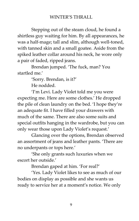Stepping out of the steam cloud, he found a shirtless guy waiting for him. By all appearances, he was a half-mage; tall and slim, although well-toned, with tanned skin and a small goatee. Aside from the spiked leather collar around his neck, he wore only a pair of faded, ripped jeans.

Brendan jumped. 'The fuck, man? You startled me.'

'Sorry. Brendan, is it?'

He nodded.

'I'm Levi. Lady Violet told me you were expecting me. Here are some clothes.' He dropped the pile of clean laundry on the bed. 'I hope they're an adequate fit. I have filled your drawers with much of the same. There are also some suits and special outfits hanging in the wardrobe, but you can only wear those upon Lady Violet's request.'

Glancing over the options, Brendan observed an assortment of jeans and leather pants. 'There are no underpants or tops here.'

'She only grants such luxuries when we escort her outside.'

Brendan gaped at him. 'For real?'

'Yes. Lady Violet likes to see as much of our bodies on display as possible and she wants us ready to service her at a moment's notice. We only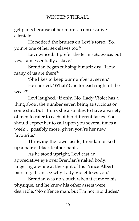get pants because of her more… conservative clientele.'

He noticed the bruises on Levi's torso. 'So, you're one of her sex slaves too?'

Levi winced. 'I prefer the term *submissive*, but yes, I am essentially a slave.'

Brendan began rubbing himself dry. 'How many of us are there?'

'She likes to keep our number at seven.'

He snorted. 'What? One for each night of the week?'

Levi laughed. 'If only. No, Lady Violet has a thing about the number seven being auspicious or some shit. But I think she also likes to have a variety of men to cater to each of her different tastes. You should expect her to call upon you several times a week… possibly more, given you're her new favourite.'

Throwing the towel aside, Brendan picked up a pair of black leather pants.

As he stood upright, Levi cast an appreciative eye over Brendan's naked body, lingering a while at the sight of his Prince Albert piercing. 'I can see why Lady Violet likes you.'

Brendan was no slouch when it came to his physique, and he knew his other assets were desirable. 'No offence man, but I'm not into dudes.'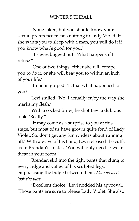'None taken, but you should know your sexual preference means nothing to Lady Violet. If she wants you to sleep with a man, you will do it if you know what's good for you.'

His eyes bugged out. 'What happens if I refuse?'

'One of two things: either she will compel you to do it, or she will beat you to within an inch of your life.'

Brendan gulped. 'Is that what happened to you?'

Levi smiled. 'No. I actually enjoy the way she marks my flesh.'

With a cocked brow, he shot Levi a dubious look. 'Really?'

'It may come as a surprise to you at this stage, but most of us have grown quite fond of Lady Violet. So, don't get any funny ideas about running off.' With a wave of his hand, Levi released the cuffs from Brendan's ankles. 'You will only need to wear these in your room.'

Brendan slid into the tight pants that clung to every ridge and valley of his sculpted legs, emphasising the bulge between them. *May as well look the part.*

'Excellent choice,' Levi nodded his approval. 'Those pants are sure to please Lady Violet. She also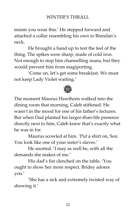insists you wear this.' He stepped forward and attached a collar resembling his own to Brendan's neck.

He brought a hand up to test the feel of the thing. The spikes were sharp, made of cold iron. Not enough to stop him channelling mana, but they would prevent him from magiporting.

'Come on, let's get some breakfast. We must not keep Lady Violet waiting.'



The moment Maurus Hawthorn walked into the dining room that morning, Caleb stiffened. He wasn't in the mood for one of his father's lectures. But when Dad planted his larger-than-life presence directly next to him, Caleb knew that's exactly what he was in for.

Maurus scowled at him. 'Put a shirt on, Son. You look like one of your sister's slaves.'

He snorted. 'I may as well be, with all the demands she makes of me'

His dad's fist clenched on the table. 'You ought to show her more respect. Bridey adores you.'

'She has a sick and extremely twisted way of showing it.'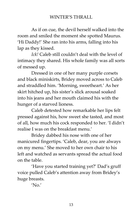As if on cue, the devil herself walked into the room and smiled the moment she spotted Maurus. 'Hi Daddy!' She ran into his arms, falling into his lap as they kissed.

*Ick!* Caleb still couldn't deal with the level of intimacy they shared. His whole family was all sorts of messed up.

Dressed in one of her many purple corsets and black miniskirts, Bridey moved across to Caleb and straddled him. 'Morning, sweetheart.' As her skirt hitched up, his sister's slick arousal soaked into his jeans and her mouth claimed his with the hunger of a starved lioness.

Caleb detested how remarkable her lips felt pressed against his, how sweet she tasted, and most of all, how much his cock responded to her. 'I didn't realise I was on the breakfast menu.'

Bridey dabbed his nose with one of her manicured fingertips. 'Caleb, dear, you are always on my menu.' She moved to her own chair to his left and watched as servants spread the actual food on the table.

'Have you started training yet?' Dad's gruff voice pulled Caleb's attention away from Bridey's huge breasts.

 $'$ No.'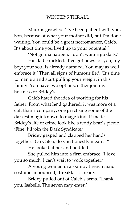Maurus growled. 'I've been patient with you, Son, because of what your mother did, but I'm done waiting. You could be a great necromancer, Caleb. It's about time you lived up to your potential.'

'Not gonna happen. I don't wanna go dark.'

His dad chuckled. 'I've got news for you, my boy: your soul is already damned. You may as well embrace it.' Then all signs of humour fled. 'It's time to man up and start pulling your weight in this family. You have two options: either join my business or Bridey's.'

Caleb hated the idea of working for his father. From what he'd gathered, it was more of a cult than a company: one practising some of the darkest magic known to mage kind. It made Bridey's life of crime look like a teddy bear's picnic. 'Fine. I'll join the Dark Syndicate.'

Bridey gasped and clapped her hands together. 'Oh Caleb, do you honestly mean it?'

He looked at her and nodded.

She pulled him into a firm embrace. 'I love you so much! I can't wait to work together.'

A young woman in a skimpy French maid costume announced, 'Breakfast is ready.'

Bridey pulled out of Caleb's arms. 'Thank you, Isabelle. The seven may enter.'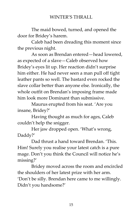The maid bowed, turned, and opened the door for Bridey's harem.

Caleb had been dreading this moment since the previous night.

As soon as Brendan entered—head lowered, as expected of a slave—Caleb observed how Bridey's eyes lit up. Her reaction didn't surprise him either. He had never seen a man pull off tight leather pants so well. The bastard even rocked the slave collar better than anyone else. Ironically, the whole outfit on Brendan's imposing frame made him look more Dominant than submissive.

Maurus erupted from his seat. 'Are you insane, Bridey?'

Having thought as much for ages, Caleb couldn't help the snigger.

Her jaw dropped open. 'What's wrong, Daddy?'

Dad thrust a hand toward Brendan. 'This. Him! Surely you realise your latest catch is a pure mage. Don't you think the Council will notice he's missing?'

Bridey moved across the room and encircled the shoulders of her latest prize with her arm. 'Don't be silly. Brendan here came to me willingly. Didn't you handsome?'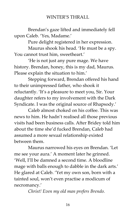Brendan's gaze lifted and immediately fell upon Caleb. 'Yes, Madame.'

Pure delight registered in her expression.

Maurus shook his head. 'He must be a spy. You cannot trust him, sweetheart.'

'He is not just any pure mage. We have history. Brendan, honey, this is my dad, Maurus. Please explain the situation to him.'

Stepping forward, Brendan offered his hand to their unimpressed father, who shook it reluctantly. 'It's a pleasure to meet you, Sir. Your daughter refers to my involvement with the Dark Syndicate. I was the original source of Rhapsody.'

Caleb almost choked on his coffee. This was news to him. He hadn't realised all those previous visits had been business calls. After Bridey told him about the time she'd fucked Brendan, Caleb had assumed a more sexual relationship existed between them.

Maurus narrowed his eyes on Brendan. 'Let me see your aura.' A moment later he grinned. 'Well, I'll be damned a second time. A bloodline mage with balls enough to dabble in the dark arts.' He glared at Caleb. 'Yet my own son, born with a tainted soul, won't even practise a modicum of necromancy.'

*Christ! Even my old man prefers Brendo.*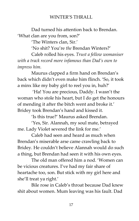Dad turned his attention back to Brendan. 'What clan are you from, son?'

'The Winters clan, Sir.'

'No shit? You're *the* Brendan Winters?'

Caleb rolled his eyes. *Trust a fellow womaniser with a track record more infamous than Dad's own to impress him.*

Maurus clapped a firm hand on Brendan's back which didn't even make him flinch. 'So, it took a minx like my baby girl to reel you in, huh?'

'Ha! You are precious, Daddy. I wasn't the woman who stole his heart, but I do get the honours of mending it after the bitch went and broke it.' Bridey took Brendan's hand and kissed it.

'Is this true?' Maurus asked Brendan.

'Yes, Sir. Alannah, my soul mate, betrayed me. Lady Violet severed the link for me.'

Caleb had seen and heard as much when Brendan's miserable arse came crawling back to Bridey. He couldn't believe Alannah would do such a thing, but Brendan had seen it with his own eyes.

The old man offered him a nod. 'Women can be vicious creatures. I've had my fair share of heartache too, son. But stick with my girl here and she'll treat ya right.'

Bile rose in Caleb's throat because Dad knew shit about women. Mum leaving was his fault. Dad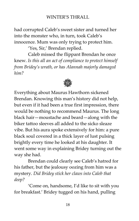had corrupted Caleb's sweet sister and turned her into the monster who, in turn, took Caleb's innocence. Mum was only trying to protect him.

'Yes, Sir,' Brendan replied.

Caleb missed the flippant Brendan he once knew. *Is this all an act of compliance to protect himself from Bridey's wrath, or has Alannah majorly damaged him?*



Everything about Maurus Hawthorn sickened Brendan. Knowing this man's history did not help, but even if it had been a true first impression, there would be nothing to recommend Maurus. The long black hair—moustache and beard—along with the biker tattoo sleeves all added to the sicko sleaze vibe. But his aura spoke extensively for him: a pure black soul covered in a thick layer of lust pulsing brightly every time he looked at his daughter. It went some way in explaining Bridey turning out the way she had.

Brendan could clearly see Caleb's hatred for his father, but the jealousy oozing from him was a mystery. *Did Bridey stick her claws into Caleb that deep?*

'Come on, handsome, I'd like to sit with you for breakfast.' Bridey tugged on his hand, pulling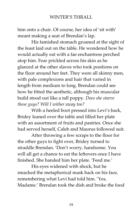him onto a chair. Of course, her idea of 'sit with' meant making a seat of Brendan's lap.

His famished stomach groaned at the sight of the feast laid out on the table. He wondered how he would actually eat with a fae enchantress perched atop him. Fear prickled across his skin as he glanced at the other slaves who took positions on the floor around her feet. They were all skinny men, with pale complexions and hair that varied in length from medium to long. Brendan could see how he fitted the aesthetic, although his muscular build stood out like a tall poppy. *Does she starve these guys? Will I wither away too?*

With a heeled boot pressed into Levi's back, Bridey leaned over the table and filled her plate with an assortment of fruits and pastries. Once she had served herself, Caleb and Maurus followed suit.

After throwing a few scraps to the floor for the other guys to fight over, Bridey turned to straddle Brendan. 'Don't worry, handsome. You will all get a chance to eat the leftovers once I have finished. She handed him her plate. 'Feed me.'

His eyes widened with shock, but he smacked the metaphorical mask back on his face, remembering what Levi had told him. 'Yes, Madame.' Brendan took the dish and broke the food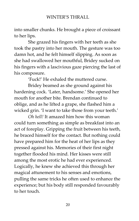into smaller chunks. He brought a piece of croissant to her lips.

She grazed his fingers with her teeth as she took the pastry into her mouth. The gesture was too damn hot, and he felt himself slipping. As soon as she had swallowed her mouthful, Bridey sucked on his fingers with a lascivious gaze piercing the last of his composure.

'Fuck!' He exhaled the muttered curse.

Bridey beamed as she ground against his hardening cock. 'Later, handsome.' She opened her mouth for another bite. Brendan continued to oblige, and as he lifted a grape, she flashed him a wicked grin. 'I want to take those from your teeth.'

*Oh hell!* It amazed him how this woman could turn something as simple as breakfast into an act of foreplay. Gripping the fruit between his teeth, he braced himself for the contact. But nothing could have prepared him for the heat of her lips as they pressed against his. Memories of their first night together flooded his mind. Her kisses were still among the most erotic he had ever experienced. Logically, he knew she achieved this through her magical attunement to his senses and emotions, pulling the same tricks he often used to enhance the experience; but his body still responded favourably to her touch.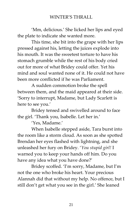'Mm, delicious.' She licked her lips and eyed the plate to indicate she wanted more.

This time, she bit into the grape with her lips pressed against his, letting the juices explode into his mouth. It was the sweetest torture to have his stomach grumble while the rest of his body cried out for more of what Bridey could offer. Yet his mind and soul wanted none of it. He could not have been more conflicted if he was Parliament.

A sudden commotion broke the spell between them, and the maid appeared at their side. 'Sorry to interrupt, Madame, but Lady Scarlett is here to see you.'

Bridey tensed and swivelled around to face the girl. 'Thank you, Isabelle. Let her in.'

'Yes, Madame.'

When Isabelle stepped aside, Tara burst into the room like a storm cloud. As soon as she spotted Brendan her eyes flashed with lightning, and she unleashed her fury on Bridey. '*You stupid girl!* I warned you to keep your hands off him. Do you have any idea what you have done?'

Bridey scoffed. 'I'm sorry, Madame, but I'm not the one who broke his heart. Your precious Alannah did that without my help. No offence, but I still don't get what you see in the girl.' She leaned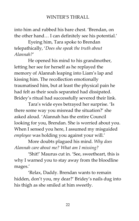into him and rubbed his bare chest. 'Brendan, on the other hand… I can definitely see his potential.'

Eyeing him, Tara spoke to Brendan telepathically, '*Does she speak the truth about Alannah?*'

He opened his mind to his grandmother, letting her see for herself as he replayed the memory of Alannah leaping into Liam's lap and kissing him. The recollection emotionally traumatised him, but at least the physical pain he had felt as their souls separated had dissipated. Bridey's ritual had successfully severed their link.

Tara's wide eyes betrayed her surprise. 'Is there some way you misread the situation?' she asked aloud. 'Alannah has the entire Council looking for you, Brendan. She is worried about you. When I sensed you here, I assumed my misguided *employee* was holding you against your will.'

More doubts plagued his mind. *Why does Alannah care about me? What am I missing?*

'Shit!' Maurus cut in. 'See, sweetheart, this is why I warned you to stay away from the bloodline mages.'

'Relax, Daddy. Brendan wants to remain hidden, don't you, my dear?' Bridey's nails dug into his thigh as she smiled at him sweetly.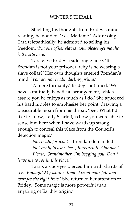Shielding his thoughts from Bridey's mind reading, he nodded. 'Yes, Madame.' Addressing Tara telepathically, he admitted to selling his freedom. *'I'm one of her slaves now, please get me the hell outta here.'*

Tara gave Bridey a sidelong glance. 'If Brendan is not your prisoner, why is he wearing a slave collar?' Her own thoughts entered Brendan's mind. '*You are not ready, darling prince.*'

'A mere formality,' Bridey continued. 'We have a mutually beneficial arrangement, which I assure you he enjoys as much as I do.' She squeezed his hard nipples to emphasise her point, drawing a pleasurable moan from his throat. 'See? What I'd like to know, Lady Scarlett, is how you were able to sense him here when I have wards up strong enough to conceal this place from the Council's detection magic.'

> *'Not ready for what?'* Brendan demanded. '*Not ready to leave here, to return to Alannah.*'

'*Please, Grandmother, I'm begging you. Don't leave me to rot in this place.*'

Tara's arctic eyes pierced him with shards of ice. '*Enough! My word is final. Accept your fate and wait for the right time*.' She returned her attention to Bridey. 'Some magic is more powerful than anything of Earthly origin.'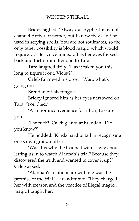Bridey sighed. 'Always so cryptic. I may not channel Aether or nether, but I know they can't be used in scrying spells. You are not soulmates, so the only other possibility is blood magic, which would require….' Her voice trailed off as her eyes flicked back and forth from Brendan to Tara.

Tara laughed drily. 'Has it taken you this long to figure it out, Violet?'

Caleb furrowed his brow. 'Wait, what's going on?'

Brendan bit his tongue.

Bridey ignored him as her eyes narrowed on Tara. 'You died.'

'A minor inconvenience for a lich, I assure you.'

'The fuck?' Caleb glared at Brendan. 'Did you know?'

He nodded. 'Kinda hard to fail in recognising one's own grandmother.'

'Was this why the Council were cagey about letting us in to watch Alannah's trial? Because they discovered the truth and wanted to cover it up?' Caleb asked.

'Alannah's relationship with me was the premise of the trial.' Tara admitted. 'They charged her with treason and the practice of illegal magic… magic I taught her.'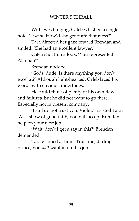With eyes bulging, Caleb whistled a single note. '*D-amn*. How'd she get outta that mess?'

Tara directed her gaze toward Brendan and smiled. 'She had an excellent lawyer.'

Caleb shot him a look. 'You represented Alannah?'

Brendan nodded.

'Gods, dude. Is there anything you don't excel at?' Although light-hearted, Caleb laced his words with envious undertones.

He could think of plenty of his own flaws and failures, but he did not want to go there. Especially not in present company.

'I still do not trust you, Violet,' insisted Tara. 'As a show of good faith, you will accept Brendan's help on your next job.'

'Wait, don't I get a say in this?' Brendan demanded.

Tara grinned at him. 'Trust me, darling prince, you *will* want in on this job.'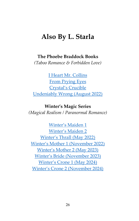### **Also By L. Starla**

#### **The Phoebe Braddock Books**

*(Taboo Romance & Forbidden Love)*

[I Heart Mr. Collins](https://books2read.com/u/mdnBVZ) [From Prying Eyes](https://books2read.com/u/47l9e7) [Crystal's Crucible](https://books2read.com/u/bPXPkJ) [Undeniably Wrong \(August 2022\)](https://books2read.com/UndeniablyWrong)

**Winter's Magic Series** *(Magical Realism / Paranormal Romance)*

[Winter's Maiden 1](https://books2read.com/u/3LY7k0) [Winter's Maiden 2](https://books2read.com/u/m2Mw0r) [Winter's Thrall \(May 2022\)](https://books2read.com/WintersThrall) [Winter's Mother 1 \(November 2022\)](https://www.goodreads.com/book/show/55658025-winter-s-mother-1) [Winter's Mother 2 \(May 2023\)](https://www.goodreads.com/book/show/55809439-winter-s-mother-2) [Winter's Bride \(November 2023\)](https://www.goodreads.com/book/show/55817503-winter-s-bride) [Winter's Crone 1 \(May 2024\)](https://www.goodreads.com/book/show/55817639-winter-s-crone-1) [Winter's Crone 2 \(November 2024\)](https://www.goodreads.com/book/show/55817641-winter-s-crone-2)